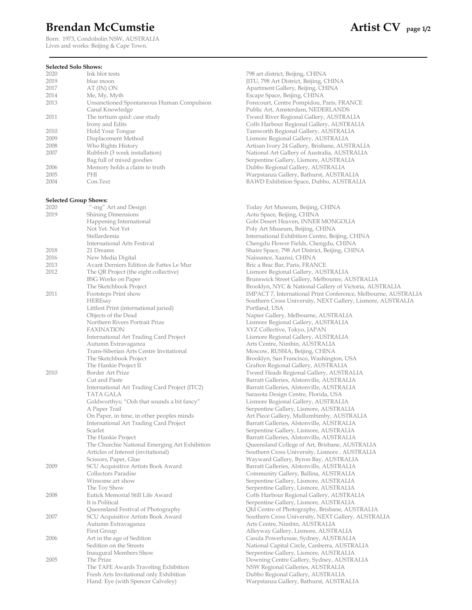## Brendan McCumstie **Artist CV** page 1/2

Born: 1973, Condobolin NSW, AUSTRALIA Lives and works: Beijing & Cape Town.

### **Selected Solo Shows:**<br>2020 **Ink blot tests** 2019 blue moon blue moon JITU, 798 Art District, Beijing, CHINA<br>2017 AT (IN) ON Apartment Gallery, Beijing, CHINA 2014 Me, My, Myth Escape Space, Beijing, CHINA 2013 Unsanctioned Spontaneous Human Compulsion Forecourt, Centre Pompidou, Paris, FRANCE Canal Knowledge Public Art, Amsterdam, NEDERLANDS 2011 The tertium quid: case study Tweed River Regional Gallery, AUSTRALIA Irony and Edits Coffs Harbour Regional Gallery, AUSTRALIA 2010 Hold Your Tongue Tamworth Regional Gallery, AUSTRALIA 2008 Who Rights History Artisan Ivory 24 Gallery, Brisbane, AUSTRALIA 2007 Rubbish (3 week installation) National Art Gallery of Australia, AUSTRALIA Bag full of mixed goodies Serpentine Gallery, Lismore, AUSTRALIA 2006 Memory holds a claim to truth Dubbo Regional Gallery, AUSTRALIA 2005 PHI Warpstanza Gallery, Bathurst, AUSTRALIA 2004 Con.Text BAWD Exhibition Space, Dubbo, AUSTRALIA **Selected Group Shows:**<br>2020 *"***-ing"** Art and Design 2020 "-ing" Art and Design Today Art Museum, Beijing, CHINA 2019 Shining Dimensions **Aoust Aoust Aoust Aoust Aoust Aoust Aoust Aoust Aoust Aoust Aoust Aoust Aoust Aoust Aoust Aoust Aoust Aoust Aoust Aoust Aoust Aoust Aoust Aoust Aoust Aoust Aoust Aoust Aoust Aoust Aoust Aoust Aoust**  Happening International Gobi Desert Heaven, INNER MONGOLIA Not Yet. Not Yet Poly Art Museum, Beijing, CHINA Stellardemia International Exhibition Centre, Beijing, CHINA International Arts Festival Chengdu Flower Fields, Chengdu, CHINA 2018 21 Dreams Shaire Space, 798 Art District, Beijing, CHINA 2016 New Media Digital Naissance, Xaanxi, CHINA 2013 Avant Derniers Edition de Fattes Le Mur Bric a Brac Bar, Paris, FRANCE 2012 The QR Project (the eight collective) Lismore Regional Gallery, AUSTRALIA BSG Works on Paper Brunswick Street Gallery, Melbounre, AUSTRALIA 2011 Footsteps Print show IMPACT 7, International Print Conference, Melbourne, AUSTRALIA<br>HEREsay Southern Cross University, NEXT Gallery, Lismore, AUSTRALIA Littlest Print (international juried) Portland, USA Objects of the Dead Napier Gallery, Melbourne, AUSTRALIA<br>Northern Rivers Portrait Prize Lismore Regional Gallery, AUSTRALIA FAXINATION XYZ Collective, Tokyo, JAPAN International Art Trading Card Project Lismore Regional Gallery, AUSTRALIA Autumn Extravaganza **Arts Centre, Nimbin, AUSTRALIA** Trans-Siberian Arts Centre Invitational Moscow, RUSSIA; Beijing, CHINA<br>The Sketchbook Project Brooklyn, San Francisco, Washington The Hankie Project II Grafton Regional Gallery, AUSTRALIA 2010 Border Art Prize Tweed Heads Regional Gallery, AUSTRALIA International Art Trading Card Project (ITC2) Barratt Galleries, Alstonville, AUSTRALIA TATA GALA Sarasota Design Centre, Florida, USA Goldworthys; "Ooh that sounds a bit fancy" Lismore Regional Gallery, AUSTRALIA A Paper Trail Serpentine Gallery, Lismore, AUSTRALIA On Paper, in time, in other peoples minds Art Piece Gallery, Mullumbimby, AUSTRALIA International Art Trading Card Project Barratt Galleries, Alstonville, AUSTRALIA Scarlet Serpentine Gallery, Lismore, AUSTRALIA The Hankie Project Barratt Galleries, Alstonville, AUSTRALIA The Churchie National Emerging Art Exhibition Queensland College of Art, Brisbane, AUSTRALIA Articles of Interest (invitational) Southern Cross University, Lismore , AUSTRALIA Scissors, Paper, Glue Mayward Gallery, Byron Bay, AUSTRALIA<br>SCU Acquisitive Artists Book Award Mayward Barratt Galleries, Alstonville, AUSTRALIA 2009 SCU Acquisitive Artists Book Award Barratt Galleries, Alstonville, AUSTRALIA Winsome art show Serpentine Gallery, Lismore, AUSTRALIA<br>
The Toy Show Serpentine Gallery, Lismore, AUSTRALIA 2008 Eutick Memorial Still Life Award Coffs Harbour Regional Gallery, AUSTRALIA It is Political Serpentine Gallery, Lismore, AUSTRALIA Queensland Festival of Photography Qld Centre of Photography, Brisbane, AUSTRALIA 2007 SCU Acquisitive Artists Book Award Southern Cross University, NEXT Gallery, AUSTRALIA Autumn Extravaganza **Arts Centre, Nimbin, AUSTRALIA**  First Group Alleyway Gallery, Lismore, AUSTRALIA 2006 Art in the age of Sedition Casula Powerhouse, Sydney, AUSTRALIA Sedition on the Streets National Capital Circle, Canberra, AUSTRALIA Inaugural Members Show Serpentine Gallery, Lismore, AUSTRALIA 2005 The Prize The Trianglery, Sydney, AUSTRALIA<br>The TAFE Awards Traveling Exhibition NSW Regional Galleries, AUSTRALIA The TAFE Awards Traveling Exhibition Fresh Arts Invitational only Exhibition Dubbo Regional Gallery, AUSTRALIA

798 art district, Beijing, CHINA Apartment Gallery, Beijing, CHINA Lismore Regional Gallery, AUSTRALIA

The Sketchbook Project **Brooklyn, NYC & National Gallery of Victoria, AUSTRALIA** Southern Cross University, NEXT Gallery, Lismore, AUSTRALIA Lismore Regional Gallery, AUSTRALIA Brooklyn, San Francisco, Washington, USA Barratt Galleries, Alstonville, AUSTRALIA Community Gallery, Ballina, AUSTRALIA Serpentine Gallery, Lismore, AUSTRALIA Hand. Eye (with Spencer Calveley) Warpstanza Gallery, Bathurst, AUSTRALIA